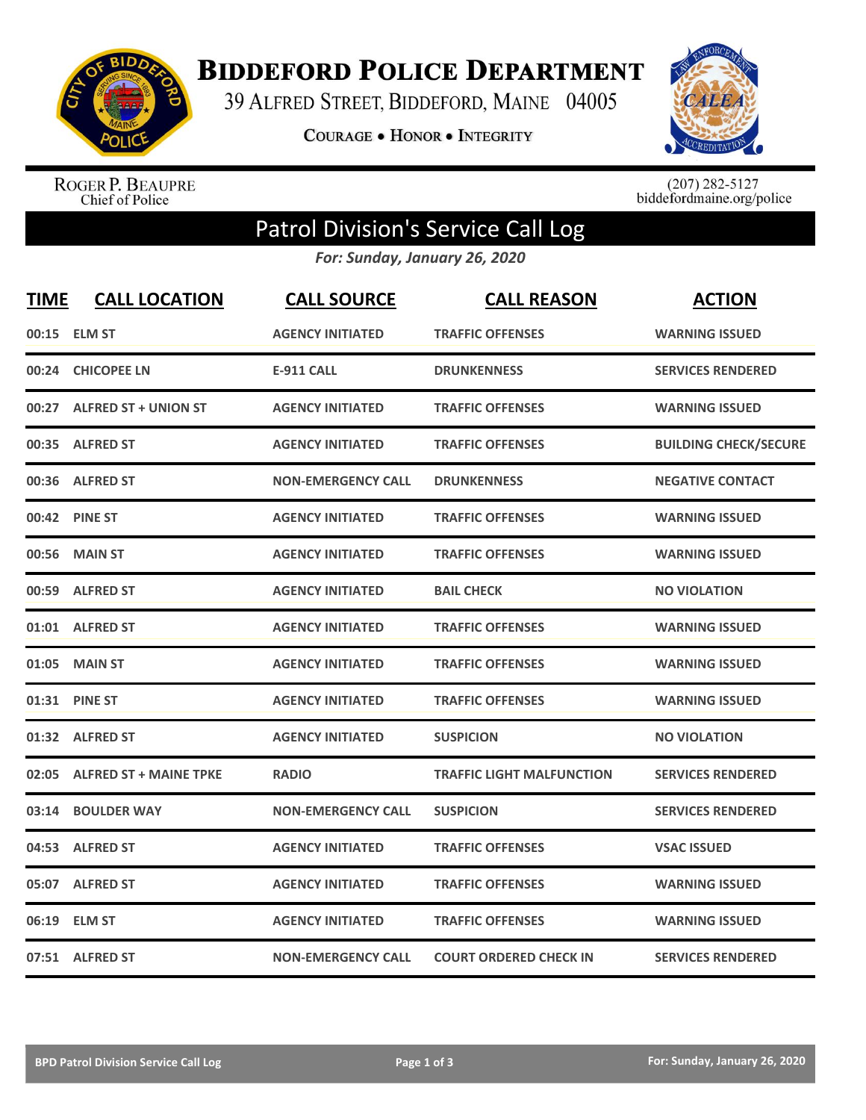

**BIDDEFORD POLICE DEPARTMENT** 

39 ALFRED STREET, BIDDEFORD, MAINE 04005

**COURAGE . HONOR . INTEGRITY** 



ROGER P. BEAUPRE<br>Chief of Police

 $(207)$  282-5127<br>biddefordmaine.org/police

## Patrol Division's Service Call Log

*For: Sunday, January 26, 2020*

| <b>TIME</b> | <b>CALL LOCATION</b>          | <b>CALL SOURCE</b>        | <b>CALL REASON</b>               | <b>ACTION</b>                |
|-------------|-------------------------------|---------------------------|----------------------------------|------------------------------|
| 00:15       | <b>ELM ST</b>                 | <b>AGENCY INITIATED</b>   | <b>TRAFFIC OFFENSES</b>          | <b>WARNING ISSUED</b>        |
| 00:24       | <b>CHICOPEE LN</b>            | <b>E-911 CALL</b>         | <b>DRUNKENNESS</b>               | <b>SERVICES RENDERED</b>     |
|             | 00:27 ALFRED ST + UNION ST    | <b>AGENCY INITIATED</b>   | <b>TRAFFIC OFFENSES</b>          | <b>WARNING ISSUED</b>        |
| 00:35       | <b>ALFRED ST</b>              | <b>AGENCY INITIATED</b>   | <b>TRAFFIC OFFENSES</b>          | <b>BUILDING CHECK/SECURE</b> |
| 00:36       | <b>ALFRED ST</b>              | <b>NON-EMERGENCY CALL</b> | <b>DRUNKENNESS</b>               | <b>NEGATIVE CONTACT</b>      |
| 00:42       | <b>PINE ST</b>                | <b>AGENCY INITIATED</b>   | <b>TRAFFIC OFFENSES</b>          | <b>WARNING ISSUED</b>        |
| 00:56       | <b>MAIN ST</b>                | <b>AGENCY INITIATED</b>   | <b>TRAFFIC OFFENSES</b>          | <b>WARNING ISSUED</b>        |
| 00:59       | <b>ALFRED ST</b>              | <b>AGENCY INITIATED</b>   | <b>BAIL CHECK</b>                | <b>NO VIOLATION</b>          |
|             | 01:01 ALFRED ST               | <b>AGENCY INITIATED</b>   | <b>TRAFFIC OFFENSES</b>          | <b>WARNING ISSUED</b>        |
| 01:05       | <b>MAIN ST</b>                | <b>AGENCY INITIATED</b>   | <b>TRAFFIC OFFENSES</b>          | <b>WARNING ISSUED</b>        |
| 01:31       | <b>PINE ST</b>                | <b>AGENCY INITIATED</b>   | <b>TRAFFIC OFFENSES</b>          | <b>WARNING ISSUED</b>        |
| 01:32       | <b>ALFRED ST</b>              | <b>AGENCY INITIATED</b>   | <b>SUSPICION</b>                 | <b>NO VIOLATION</b>          |
| 02:05       | <b>ALFRED ST + MAINE TPKE</b> | <b>RADIO</b>              | <b>TRAFFIC LIGHT MALFUNCTION</b> | <b>SERVICES RENDERED</b>     |
| 03:14       | <b>BOULDER WAY</b>            | <b>NON-EMERGENCY CALL</b> | <b>SUSPICION</b>                 | <b>SERVICES RENDERED</b>     |
| 04:53       | <b>ALFRED ST</b>              | <b>AGENCY INITIATED</b>   | <b>TRAFFIC OFFENSES</b>          | <b>VSAC ISSUED</b>           |
| 05:07       | <b>ALFRED ST</b>              | <b>AGENCY INITIATED</b>   | <b>TRAFFIC OFFENSES</b>          | <b>WARNING ISSUED</b>        |
|             | 06:19 ELM ST                  | <b>AGENCY INITIATED</b>   | <b>TRAFFIC OFFENSES</b>          | <b>WARNING ISSUED</b>        |
|             | 07:51 ALFRED ST               | <b>NON-EMERGENCY CALL</b> | <b>COURT ORDERED CHECK IN</b>    | <b>SERVICES RENDERED</b>     |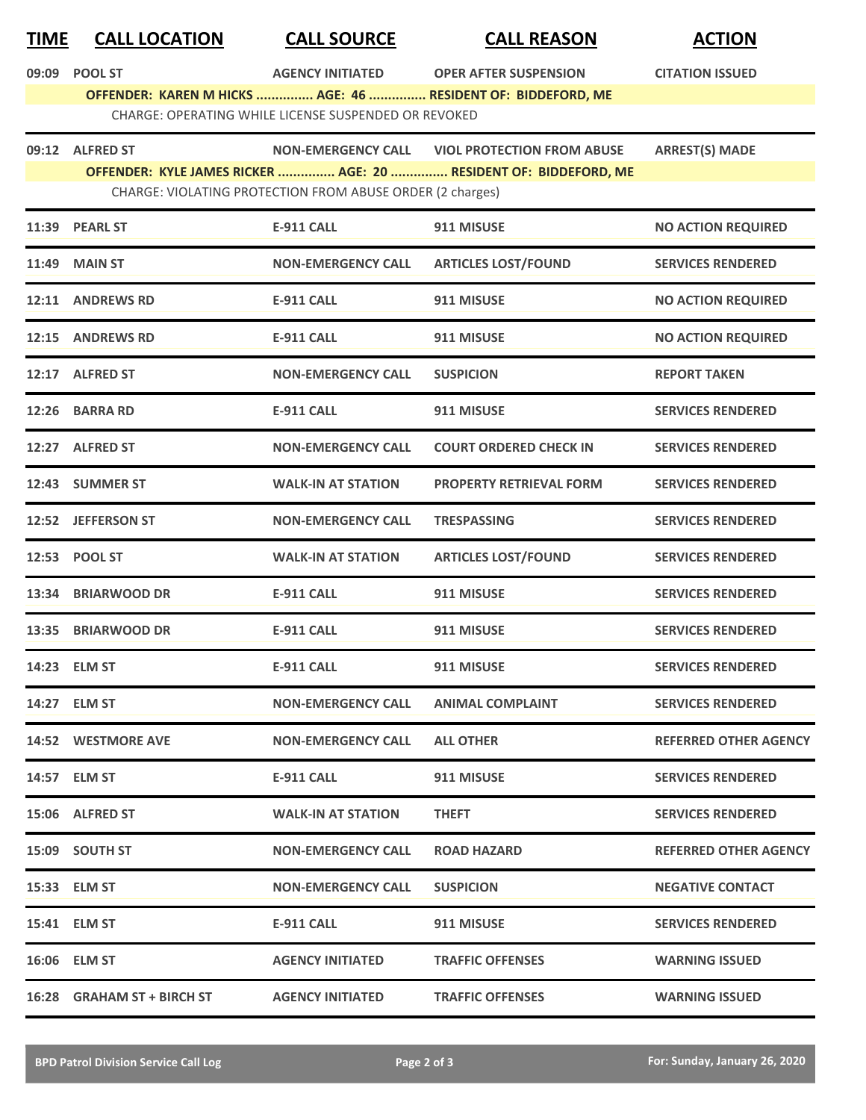| <b>TIME</b> | <b>CALL LOCATION</b> | <b>CALL SOURCE</b>                                        | <b>CALL REASON</b>                                               | <b>ACTION</b>                |
|-------------|----------------------|-----------------------------------------------------------|------------------------------------------------------------------|------------------------------|
| 09:09       | <b>POOL ST</b>       | <b>AGENCY INITIATED</b>                                   | <b>OPER AFTER SUSPENSION</b>                                     | <b>CITATION ISSUED</b>       |
|             |                      |                                                           | OFFENDER: KAREN M HICKS  AGE: 46  RESIDENT OF: BIDDEFORD, ME     |                              |
|             |                      | CHARGE: OPERATING WHILE LICENSE SUSPENDED OR REVOKED      |                                                                  |                              |
|             | 09:12 ALFRED ST      | <b>NON-EMERGENCY CALL</b>                                 | <b>VIOL PROTECTION FROM ABUSE</b>                                | <b>ARREST(S) MADE</b>        |
|             |                      |                                                           | OFFENDER: KYLE JAMES RICKER  AGE: 20  RESIDENT OF: BIDDEFORD, ME |                              |
|             |                      | CHARGE: VIOLATING PROTECTION FROM ABUSE ORDER (2 charges) |                                                                  |                              |
|             | 11:39 PEARL ST       | <b>E-911 CALL</b>                                         | 911 MISUSE                                                       | <b>NO ACTION REQUIRED</b>    |
| 11:49       | <b>MAIN ST</b>       | <b>NON-EMERGENCY CALL</b>                                 | <b>ARTICLES LOST/FOUND</b>                                       | <b>SERVICES RENDERED</b>     |
|             | 12:11 ANDREWS RD     | <b>E-911 CALL</b>                                         | 911 MISUSE                                                       | <b>NO ACTION REQUIRED</b>    |
|             | 12:15 ANDREWS RD     | <b>E-911 CALL</b>                                         | 911 MISUSE                                                       | <b>NO ACTION REQUIRED</b>    |
|             | 12:17 ALFRED ST      | <b>NON-EMERGENCY CALL</b>                                 | <b>SUSPICION</b>                                                 | <b>REPORT TAKEN</b>          |
|             | 12:26 BARRA RD       | <b>E-911 CALL</b>                                         | 911 MISUSE                                                       | <b>SERVICES RENDERED</b>     |
|             | 12:27 ALFRED ST      | <b>NON-EMERGENCY CALL</b>                                 | <b>COURT ORDERED CHECK IN</b>                                    | <b>SERVICES RENDERED</b>     |
| 12:43       | <b>SUMMER ST</b>     | <b>WALK-IN AT STATION</b>                                 | <b>PROPERTY RETRIEVAL FORM</b>                                   | <b>SERVICES RENDERED</b>     |
|             | 12:52 JEFFERSON ST   | <b>NON-EMERGENCY CALL</b>                                 | <b>TRESPASSING</b>                                               | <b>SERVICES RENDERED</b>     |
|             | 12:53 POOL ST        | <b>WALK-IN AT STATION</b>                                 | <b>ARTICLES LOST/FOUND</b>                                       | <b>SERVICES RENDERED</b>     |
|             | 13:34 BRIARWOOD DR   | <b>E-911 CALL</b>                                         | 911 MISUSE                                                       | <b>SERVICES RENDERED</b>     |
|             | 13:35 BRIARWOOD DR   | E-911 CALL                                                | 911 MISUSE                                                       | <b>SERVICES RENDERED</b>     |
|             | 14:23 ELM ST         | <b>E-911 CALL</b>                                         | 911 MISUSE                                                       | <b>SERVICES RENDERED</b>     |
|             | 14:27 ELM ST         | <b>NON-EMERGENCY CALL</b>                                 | <b>ANIMAL COMPLAINT</b>                                          | <b>SERVICES RENDERED</b>     |
|             | 14:52 WESTMORE AVE   | <b>NON-EMERGENCY CALL</b>                                 | <b>ALL OTHER</b>                                                 | <b>REFERRED OTHER AGENCY</b> |
|             | 14:57 ELM ST         | <b>E-911 CALL</b>                                         | 911 MISUSE                                                       | <b>SERVICES RENDERED</b>     |

| 15:06 | <b>ALFRED ST</b>            | <b>WALK-IN AT STATION</b> | <b>THEFT</b>            | <b>SERVICES RENDERED</b>     |
|-------|-----------------------------|---------------------------|-------------------------|------------------------------|
| 15:09 | <b>SOUTH ST</b>             | <b>NON-EMERGENCY CALL</b> | <b>ROAD HAZARD</b>      | <b>REFERRED OTHER AGENCY</b> |
|       | 15:33 ELM ST                | <b>NON-EMERGENCY CALL</b> | <b>SUSPICION</b>        | <b>NEGATIVE CONTACT</b>      |
|       | 15:41 ELM ST                | <b>E-911 CALL</b>         | 911 MISUSE              | <b>SERVICES RENDERED</b>     |
|       | 16:06 ELM ST                | <b>AGENCY INITIATED</b>   | <b>TRAFFIC OFFENSES</b> | <b>WARNING ISSUED</b>        |
| 16:28 | <b>GRAHAM ST + BIRCH ST</b> | <b>AGENCY INITIATED</b>   | <b>TRAFFIC OFFENSES</b> | <b>WARNING ISSUED</b>        |